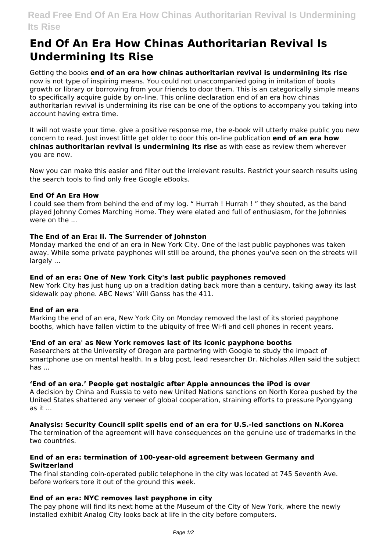# **End Of An Era How Chinas Authoritarian Revival Is Undermining Its Rise**

Getting the books **end of an era how chinas authoritarian revival is undermining its rise** now is not type of inspiring means. You could not unaccompanied going in imitation of books growth or library or borrowing from your friends to door them. This is an categorically simple means to specifically acquire guide by on-line. This online declaration end of an era how chinas authoritarian revival is undermining its rise can be one of the options to accompany you taking into account having extra time.

It will not waste your time. give a positive response me, the e-book will utterly make public you new concern to read. Just invest little get older to door this on-line publication **end of an era how chinas authoritarian revival is undermining its rise** as with ease as review them wherever you are now.

Now you can make this easier and filter out the irrelevant results. Restrict your search results using the search tools to find only free Google eBooks.

# **End Of An Era How**

I could see them from behind the end of my log. " Hurrah ! Hurrah ! " they shouted, as the band played Johnny Comes Marching Home. They were elated and full of enthusiasm, for the Johnnies were on the

# **The End of an Era: Ii. The Surrender of Johnston**

Monday marked the end of an era in New York City. One of the last public payphones was taken away. While some private payphones will still be around, the phones you've seen on the streets will largely ...

#### **End of an era: One of New York City's last public payphones removed**

New York City has just hung up on a tradition dating back more than a century, taking away its last sidewalk pay phone. ABC News' Will Ganss has the 411.

#### **End of an era**

Marking the end of an era, New York City on Monday removed the last of its storied payphone booths, which have fallen victim to the ubiquity of free Wi-fi and cell phones in recent years.

# **'End of an era' as New York removes last of its iconic payphone booths**

Researchers at the University of Oregon are partnering with Google to study the impact of smartphone use on mental health. In a blog post, lead researcher Dr. Nicholas Allen said the subject has ...

#### **'End of an era.' People get nostalgic after Apple announces the iPod is over**

A decision by China and Russia to veto new United Nations sanctions on North Korea pushed by the United States shattered any veneer of global cooperation, straining efforts to pressure Pyongyang as it ...

# **Analysis: Security Council split spells end of an era for U.S.-led sanctions on N.Korea**

The termination of the agreement will have consequences on the genuine use of trademarks in the two countries.

# **End of an era: termination of 100-year-old agreement between Germany and Switzerland**

The final standing coin-operated public telephone in the city was located at 745 Seventh Ave. before workers tore it out of the ground this week.

# **End of an era: NYC removes last payphone in city**

The pay phone will find its next home at the Museum of the City of New York, where the newly installed exhibit Analog City looks back at life in the city before computers.